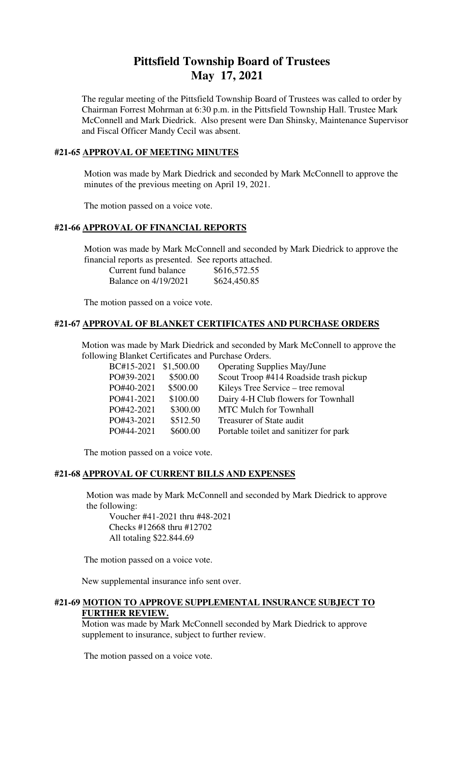# **Pittsfield Township Board of Trustees May 17, 2021**

The regular meeting of the Pittsfield Township Board of Trustees was called to order by Chairman Forrest Mohrman at 6:30 p.m. in the Pittsfield Township Hall. Trustee Mark McConnell and Mark Diedrick. Also present were Dan Shinsky, Maintenance Supervisor and Fiscal Officer Mandy Cecil was absent.

# **#21-65 APPROVAL OF MEETING MINUTES**

 Motion was made by Mark Diedrick and seconded by Mark McConnell to approve the minutes of the previous meeting on April 19, 2021.

The motion passed on a voice vote.

### **#21-66 APPROVAL OF FINANCIAL REPORTS**

 Motion was made by Mark McConnell and seconded by Mark Diedrick to approve the financial reports as presented. See reports attached.

| Current fund balance        | \$616,572.55 |
|-----------------------------|--------------|
| <b>Balance on 4/19/2021</b> | \$624,450.85 |

The motion passed on a voice vote.

### **#21-67 APPROVAL OF BLANKET CERTIFICATES AND PURCHASE ORDERS**

 Motion was made by Mark Diedrick and seconded by Mark McConnell to approve the following Blanket Certificates and Purchase Orders.

| BC#15-2021 \$1,500.00 |          | <b>Operating Supplies May/June</b>     |
|-----------------------|----------|----------------------------------------|
| PO#39-2021            | \$500.00 | Scout Troop #414 Roadside trash pickup |
| PO#40-2021            | \$500.00 | Kileys Tree Service – tree removal     |
| PO#41-2021            | \$100.00 | Dairy 4-H Club flowers for Townhall    |
| PO#42-2021            | \$300.00 | <b>MTC Mulch for Townhall</b>          |
| PO#43-2021            | \$512.50 | Treasurer of State audit               |
| PO#44-2021            | \$600.00 | Portable toilet and sanitizer for park |
|                       |          |                                        |

The motion passed on a voice vote.

### **#21-68 APPROVAL OF CURRENT BILLS AND EXPENSES**

 Motion was made by Mark McConnell and seconded by Mark Diedrick to approve the following:

Voucher #41-2021 thru #48-2021 Checks #12668 thru #12702 All totaling \$22.844.69

The motion passed on a voice vote.

New supplemental insurance info sent over.

## **#21-69 MOTION TO APPROVE SUPPLEMENTAL INSURANCE SUBJECT TO FURTHER REVIEW.**

Motion was made by Mark McConnell seconded by Mark Diedrick to approve supplement to insurance, subject to further review.

The motion passed on a voice vote.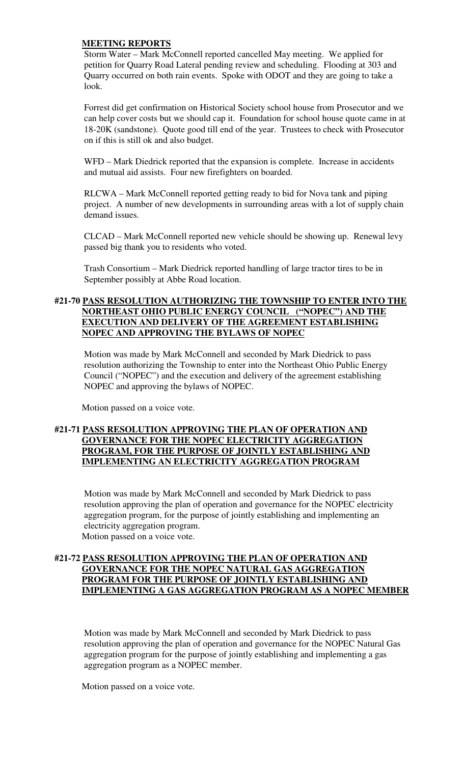## **MEETING REPORTS**

Storm Water – Mark McConnell reported cancelled May meeting. We applied for petition for Quarry Road Lateral pending review and scheduling. Flooding at 303 and Quarry occurred on both rain events. Spoke with ODOT and they are going to take a look.

Forrest did get confirmation on Historical Society school house from Prosecutor and we can help cover costs but we should cap it. Foundation for school house quote came in at 18-20K (sandstone). Quote good till end of the year. Trustees to check with Prosecutor on if this is still ok and also budget.

WFD – Mark Diedrick reported that the expansion is complete. Increase in accidents and mutual aid assists. Four new firefighters on boarded.

RLCWA – Mark McConnell reported getting ready to bid for Nova tank and piping project. A number of new developments in surrounding areas with a lot of supply chain demand issues.

CLCAD – Mark McConnell reported new vehicle should be showing up. Renewal levy passed big thank you to residents who voted.

Trash Consortium – Mark Diedrick reported handling of large tractor tires to be in September possibly at Abbe Road location.

# **#21-70 PASS RESOLUTION AUTHORIZING THE TOWNSHIP TO ENTER INTO THE NORTHEAST OHIO PUBLIC ENERGY COUNCIL ("NOPEC") AND THE EXECUTION AND DELIVERY OF THE AGREEMENT ESTABLISHING NOPEC AND APPROVING THE BYLAWS OF NOPEC**

Motion was made by Mark McConnell and seconded by Mark Diedrick to pass resolution authorizing the Township to enter into the Northeast Ohio Public Energy Council ("NOPEC") and the execution and delivery of the agreement establishing NOPEC and approving the bylaws of NOPEC.

Motion passed on a voice vote.

# **#21-71 PASS RESOLUTION APPROVING THE PLAN OF OPERATION AND GOVERNANCE FOR THE NOPEC ELECTRICITY AGGREGATION PROGRAM, FOR THE PURPOSE OF JOINTLY ESTABLISHING AND IMPLEMENTING AN ELECTRICITY AGGREGATION PROGRAM**

Motion was made by Mark McConnell and seconded by Mark Diedrick to pass resolution approving the plan of operation and governance for the NOPEC electricity aggregation program, for the purpose of jointly establishing and implementing an electricity aggregation program. Motion passed on a voice vote.

# **#21-72 PASS RESOLUTION APPROVING THE PLAN OF OPERATION AND GOVERNANCE FOR THE NOPEC NATURAL GAS AGGREGATION PROGRAM FOR THE PURPOSE OF JOINTLY ESTABLISHING AND IMPLEMENTING A GAS AGGREGATION PROGRAM AS A NOPEC MEMBER**

Motion was made by Mark McConnell and seconded by Mark Diedrick to pass resolution approving the plan of operation and governance for the NOPEC Natural Gas aggregation program for the purpose of jointly establishing and implementing a gas aggregation program as a NOPEC member.

Motion passed on a voice vote.